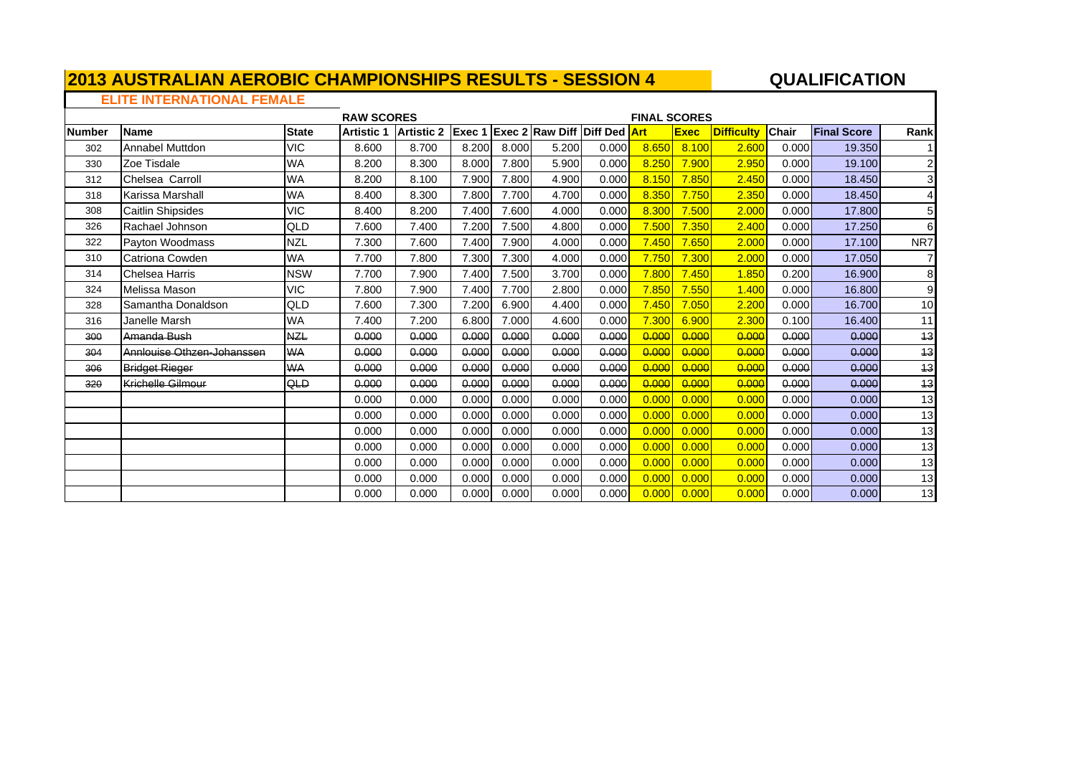## **QUALIFICATION**

### **ELITE INTERNATIONAL FEMALE**

|               |                            |              | <b>RAW SCORES</b> |                   |        |       |                                     |       | <b>FINAL SCORES</b> |             |                   |              |                    |                         |
|---------------|----------------------------|--------------|-------------------|-------------------|--------|-------|-------------------------------------|-------|---------------------|-------------|-------------------|--------------|--------------------|-------------------------|
| <b>Number</b> | <b>Name</b>                | <b>State</b> | <b>Artistic 1</b> | <b>Artistic 2</b> | Exec 1 |       | <b>Exec 2 Raw Diff Diff Ded Art</b> |       |                     | <b>Exec</b> | <b>Difficulty</b> | <b>Chair</b> | <b>Final Score</b> | Rank                    |
| 302           | <b>Annabel Muttdon</b>     | <b>VIC</b>   | 8.600             | 8.700             | 8.200  | 8.000 | 5.200                               | 0.000 | 8.650               | 8.100       | 2.600             | 0.000        | 19.350             |                         |
| 330           | Zoe Tisdale                | <b>WA</b>    | 8.200             | 8.300             | 8.000  | 7.800 | 5.900                               | 0.000 | 8.250               | 7.900       | 2.950             | 0.000        | 19.100             | $\overline{\mathbf{c}}$ |
| 312           | Chelsea Carroll            | <b>WA</b>    | 8.200             | 8.100             | 7.900  | 7.800 | 4.900                               | 0.000 | 8.150               | 7.850       | 2.450             | 0.000        | 18.450             | 3 <sup>l</sup>          |
| 318           | Karissa Marshall           | <b>WA</b>    | 8.400             | 8.300             | 7.800  | 7.700 | 4.700                               | 0.000 | 8.350               | 7.750       | 2.350             | 0.000        | 18.450             | 4                       |
| 308           | Caitlin Shipsides          | <b>VIC</b>   | 8.400             | 8.200             | 7.400  | 7.600 | 4.000                               | 0.000 | 8.300               | 7.500       | 2.000             | 0.000        | 17.800             | 5                       |
| 326           | Rachael Johnson            | QLD          | 7.600             | 7.400             | 7.200  | 7.500 | 4.800                               | 0.000 | 7.500               | 7.350       | 2.400             | 0.000        | 17.250             | 6                       |
| 322           | Payton Woodmass            | <b>NZL</b>   | 7.300             | 7.600             | 7.400  | 7.900 | 4.000                               | 0.000 | 7.450               | 7.650       | 2.00C             | 0.000        | 17.100             | NR7                     |
| 310           | Catriona Cowden            | <b>WA</b>    | 7.700             | 7.800             | 7.300  | 7.300 | 4.000                               | 0.000 | 7.750               | 7.300       | 2.000             | 0.000        | 17.050             |                         |
| 314           | <b>Chelsea Harris</b>      | <b>NSW</b>   | 7.700             | 7.900             | 7.400  | 7.500 | 3.700                               | 0.000 | 7.800               | 7.450       | 1.850             | 0.200        | 16,900             | 8                       |
| 324           | Melissa Mason              | <b>VIC</b>   | 7.800             | 7.900             | 7.400  | 7.700 | 2.800                               | 0.000 | 7.850               | 7.550       | 1.400             | 0.000        | 16,800             | 9                       |
| 328           | Samantha Donaldson         | QLD          | 7.600             | 7.300             | 7.200  | 6.900 | 4.400                               | 0.000 | 7.450               | 7.050       | 2.200             | 0.000        | 16.700             | 10                      |
| 316           | Janelle Marsh              | <b>WA</b>    | 7.400             | 7.200             | 6.800  | 7.000 | 4.600                               | 0.000 | 7.300               | 6.900       | 2.300             | 0.100        | 16.400             | 11                      |
| 300           | Amanda Bush                | <b>NZL</b>   | 0.000             | 0.000             | 0.000  | 0.000 | 0.000                               | 0.000 | 0.000               | 0.000       | 0.000             | 0.000        | 0.000              | 43                      |
| 304           | Annlouise Othzen-Johanssen | <b>WA</b>    | 0.000             | 0.000             | 0.000  | 0.000 | 0.000                               | 0.000 | 0.000               | 0.000       | <del>0.000</del>  | 0.000        | 0.000              | 43                      |
| 306           | <b>Bridget Rieger</b>      | <b>WA</b>    | 0.000             | 0.000             | 0.000  | 0.000 | 0.000                               | 0.000 | 0.000               | 0.000       | <del>0.000</del>  | 0.000        | 0.000              | 13                      |
| 320           | <b>Krichelle Gilmour</b>   | <b>QLD</b>   | 0.000             | 0.000             | 0.000  | 0.000 | 0.000                               | 0.000 | 0.000               | 0.000       | <del>0.000</del>  | 0.000        | 0.000              | 13                      |
|               |                            |              | 0.000             | 0.000             | 0.000  | 0.000 | 0.000                               | 0.000 | 0.000               | 0.000       | 0.00C             | 0.000        | 0.000              | 13                      |
|               |                            |              | 0.000             | 0.000             | 0.000  | 0.000 | 0.000                               | 0.000 | 0.000               | 0.000       | 0.00C             | 0.000        | 0.000              | 13                      |
|               |                            |              | 0.000             | 0.000             | 0.000  | 0.000 | 0.000                               | 0.000 | 0.000               | 0.000       | 0.00C             | 0.000        | 0.000              | 13                      |
|               |                            |              | 0.000             | 0.000             | 0.000  | 0.000 | 0.000                               | 0.000 | 0.000               | 0.000       | 0.000             | 0.000        | 0.000              | 13                      |
|               |                            |              | 0.000             | 0.000             | 0.000  | 0.000 | 0.000                               | 0.000 | 0.000               | 0.000       | 0.00C             | 0.000        | 0.000              | 13                      |
|               |                            |              | 0.000             | 0.000             | 0.000  | 0.000 | 0.000                               | 0.000 | 0.000               | 0.000       | 0.00C             | 0.000        | 0.000              | 13                      |
|               |                            |              | 0.000             | 0.000             | 0.000  | 0.000 | 0.000                               | 0.000 | 0.000               | 0.000       | 0.000             | 0.000        | 0.000              | 13                      |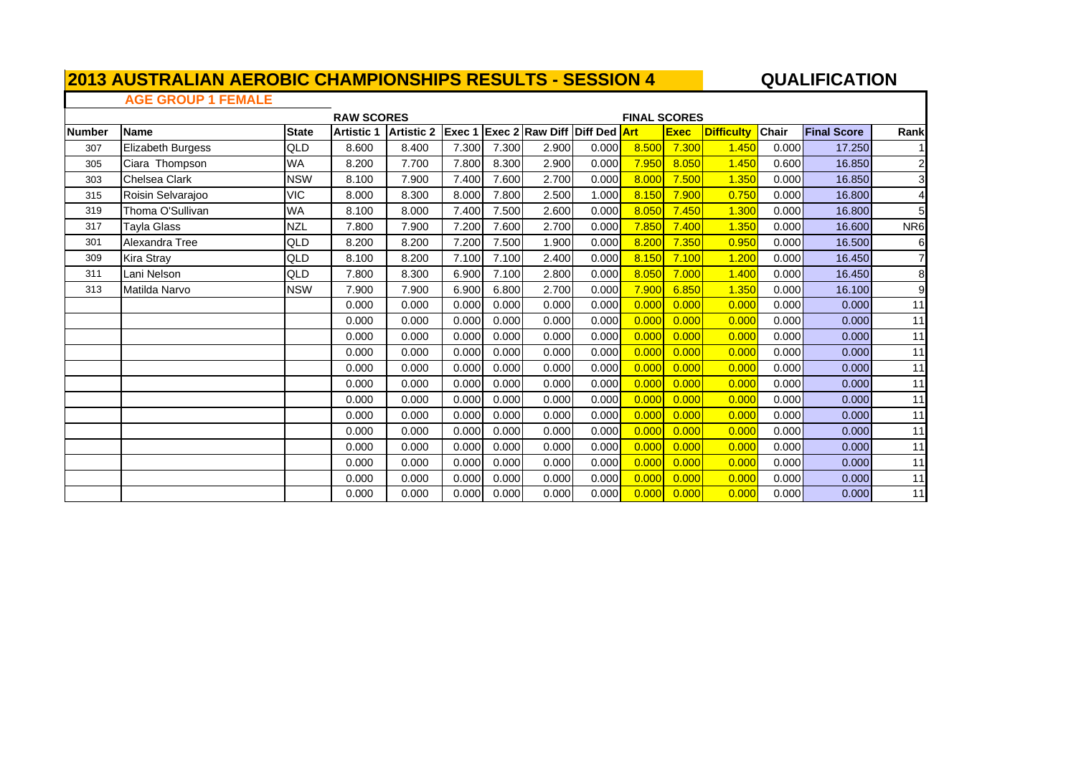## **QUALIFICATION**

#### **AGE GROUP 1 FEMALEThe Company**

|               |                   |              | <b>RAW SCORES</b> |                   |        |       |                                 |       | <b>FINAL SCORES</b> |             |                   |              |                    |                         |
|---------------|-------------------|--------------|-------------------|-------------------|--------|-------|---------------------------------|-------|---------------------|-------------|-------------------|--------------|--------------------|-------------------------|
| <b>Number</b> | <b>Name</b>       | <b>State</b> | <b>Artistic 1</b> | <b>Artistic 2</b> | Exec 1 |       | <b>Exec 2 Raw Diff Diff Ded</b> |       | <b>Art</b>          | <b>Exec</b> | <b>Difficulty</b> | <b>Chair</b> | <b>Final Score</b> | Rank                    |
| 307           | Elizabeth Burgess | QLD          | 8.600             | 8.400             | 7.300  | 7.300 | 2.900                           | 0.000 | 8.500               | 7.300       | 1.450             | 0.000        | 17.250             |                         |
| 305           | Ciara Thompson    | WA           | 8.200             | 7.700             | 7.800  | 8.300 | 2.900                           | 0.000 | 7.950               | 8.050       | 1.450             | 0.600        | 16.850             | $\overline{\mathbf{c}}$ |
| 303           | Chelsea Clark     | <b>NSW</b>   | 8.100             | 7.900             | 7.400  | 7.600 | 2.700                           | 0.000 | 8.000               | 7.500       | 1.350             | 0.000        | 16.850             | $\overline{\mathbf{3}}$ |
| 315           | Roisin Selvarajoo | VIC          | 8.000             | 8.300             | 8.000  | 7.800 | 2.500                           | 1.000 | 8.150               | 7.900       | 0.750             | 0.000        | 16.800             | 4                       |
| 319           | Thoma O'Sullivan  | <b>WA</b>    | 8.100             | 8.000             | 7.400  | 7.500 | 2.600                           | 0.000 | 8.050               | 7.450       | 1.300             | 0.000        | 16.800             | 5                       |
| 317           | Tayla Glass       | <b>NZL</b>   | 7.800             | 7.900             | 7.200  | 7.600 | 2.700                           | 0.000 | 7.850               | 7.400       | 1.350             | 0.000        | 16.600             | NR <sub>6</sub>         |
| 301           | Alexandra Tree    | QLD          | 8.200             | 8.200             | 7.200  | 7.500 | 1.900                           | 0.000 | 8.200               | 7.350       | 0.950             | 0.000        | 16.500             | 6                       |
| 309           | Kira Stray        | QLD          | 8.100             | 8.200             | 7.100  | 7.100 | 2.400                           | 0.000 | 8.150               | 7.100       | 1.200             | 0.000        | 16.450             | $\overline{7}$          |
| 311           | Lani Nelson       | QLD          | 7.800             | 8.300             | 6.900  | 7.100 | 2.800                           | 0.000 | 8.050               | 7.000       | 1.400             | 0.000        | 16.450             | 8                       |
| 313           | Matilda Narvo     | <b>NSW</b>   | 7.900             | 7.900             | 6.900  | 6.800 | 2.700                           | 0.000 | 7.900               | 6.850       | 1.350             | 0.000        | 16.100             | 9                       |
|               |                   |              | 0.000             | 0.000             | 0.000  | 0.000 | 0.000                           | 0.000 | 0.000               | 0.000       | 0.000             | 0.000        | 0.000              | 11                      |
|               |                   |              | 0.000             | 0.000             | 0.000  | 0.000 | 0.000                           | 0.000 | 0.000               | 0.000       | 0.000             | 0.000        | 0.000              | 11                      |
|               |                   |              | 0.000             | 0.000             | 0.000  | 0.000 | 0.000                           | 0.000 | 0.000               | 0.000       | 0.000             | 0.000        | 0.000              | 11                      |
|               |                   |              | 0.000             | 0.000             | 0.000  | 0.000 | 0.000                           | 0.000 | 0.000               | 0.000       | 0.000             | 0.000        | 0.000              | 11                      |
|               |                   |              | 0.000             | 0.000             | 0.000  | 0.000 | 0.000                           | 0.000 | 0.000               | 0.000       | 0.000             | 0.000        | 0.000              | 11                      |
|               |                   |              | 0.000             | 0.000             | 0.000  | 0.000 | 0.000                           | 0.000 | 0.000               | 0.000       | 0.000             | 0.000        | 0.000              | 11                      |
|               |                   |              | 0.000             | 0.000             | 0.000  | 0.000 | 0.000                           | 0.000 | 0.000               | 0.000       | 0.000             | 0.000        | 0.000              | 11                      |
|               |                   |              | 0.000             | 0.000             | 0.000  | 0.000 | 0.000                           | 0.000 | 0.000               | 0.000       | 0.000             | 0.000        | 0.000              | 11                      |
|               |                   |              | 0.000             | 0.000             | 0.000  | 0.000 | 0.000                           | 0.000 | 0.000               | 0.000       | 0.000             | 0.000        | 0.000              | 11                      |
|               |                   |              | 0.000             | 0.000             | 0.000  | 0.000 | 0.000                           | 0.000 | 0.000               | 0.000       | 0.000             | 0.000        | 0.000              | 11                      |
|               |                   |              | 0.000             | 0.000             | 0.000  | 0.000 | 0.000                           | 0.000 | 0.000               | 0.000       | 0.000             | 0.000        | 0.000              | 11                      |
|               |                   |              | 0.000             | 0.000             | 0.000  | 0.000 | 0.000                           | 0.000 | 0.000               | 0.000       | 0.000             | 0.000        | 0.000              | 11                      |
|               |                   |              | 0.000             | 0.000             | 0.000  | 0.000 | 0.000                           | 0.000 | 0.000               | 0.000       | 0.000             | 0.000        | 0.000              | 11                      |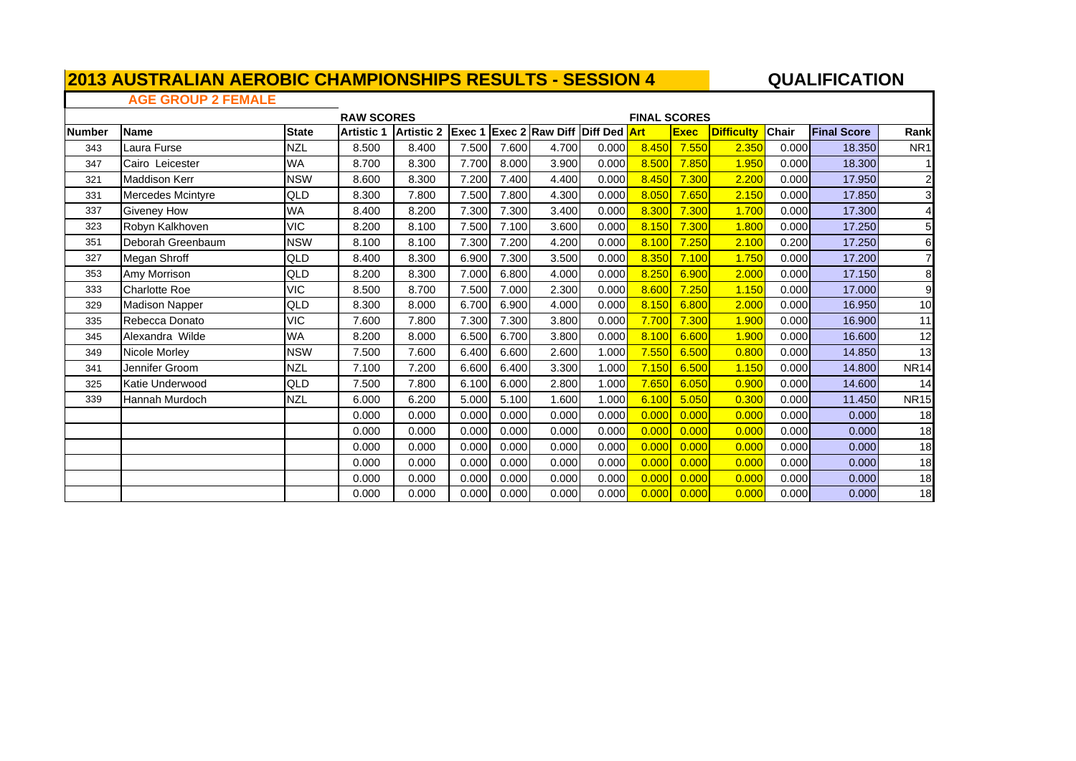## **QUALIFICATION**

### **AGE GROUP 2 FEMALE**

 $\Gamma$ 

|               |                       |              | <b>RAW SCORES</b> |                   |        |       |                                     |       | <b>FINAL SCORES</b> |             |                   |              |                    |                 |
|---------------|-----------------------|--------------|-------------------|-------------------|--------|-------|-------------------------------------|-------|---------------------|-------------|-------------------|--------------|--------------------|-----------------|
| <b>Number</b> | <b>Name</b>           | <b>State</b> | <b>Artistic 1</b> | <b>Artistic 2</b> | Exec 1 |       | <b>Exec 2 Raw Diff Diff Ded Art</b> |       |                     | <b>Exec</b> | <b>Difficulty</b> | <b>Chair</b> | <b>Final Score</b> | Rank            |
| 343           | Laura Furse           | <b>NZL</b>   | 8.500             | 8.400             | 7.500  | 7.600 | 4.700                               | 0.000 | 8.450               | 7.550       | 2.350             | 0.000        | 18.350             | NR <sub>1</sub> |
| 347           | Cairo Leicester       | <b>WA</b>    | 8.700             | 8.300             | 7.700  | 8.000 | 3.900                               | 0.000 | 8.500               | 7.850       | 1.950             | 0.000        | 18,300             | 11              |
| 321           | Maddison Kerr         | <b>NSW</b>   | 8.600             | 8.300             | 7.200  | 7.400 | 4.400                               | 0.000 | 8.450               | 7.300       | 2.200             | 0.000        | 17.950             | $\mathbf{2}$    |
| 331           | Mercedes Mcintyre     | QLD          | 8.300             | 7.800             | 7.500  | 7.800 | 4.300                               | 0.000 | 8.050               | 7.650       | 2.150             | 0.000        | 17.850             | $\mathbf{3}$    |
| 337           | <b>Giveney How</b>    | <b>WA</b>    | 8.400             | 8.200             | 7.300  | 7.300 | 3.400                               | 0.000 | 8.300               | 7.300       | 1.700             | 0.000        | 17.300             | 4               |
| 323           | Robyn Kalkhoven       | <b>VIC</b>   | 8.200             | 8.100             | 7.500  | 7.100 | 3.600                               | 0.000 | 8.150               | 7.300       | 1.800             | 0.000        | 17.250             | 5 <sup>1</sup>  |
| 351           | Deborah Greenbaum     | <b>NSW</b>   | 8.100             | 8.100             | 7.300  | 7.200 | 4.200                               | 0.000 | 8.100               | 7.250       | 2.100             | 0.200        | 17.250             | $6 \mid$        |
| 327           | Megan Shroff          | QLD          | 8.400             | 8.300             | 6.900  | 7.300 | 3.500                               | 0.000 | 8.350               | 7.100       | 1.750             | 0.000        | 17.200             | $\overline{7}$  |
| 353           | Amy Morrison          | QLD          | 8.200             | 8.300             | 7.000  | 6.800 | 4.000                               | 0.000 | 8.250               | 6.900       | 2.000             | 0.000        | 17.150             | 8               |
| 333           | Charlotte Roe         | <b>VIC</b>   | 8.500             | 8.700             | 7.500  | 7.000 | 2.300                               | 0.000 | 8.600               | 7.250       | 1.150             | 0.000        | 17.000             | 9               |
| 329           | <b>Madison Napper</b> | QLD          | 8.300             | 8.000             | 6.700  | 6.900 | 4.000                               | 0.000 | 8.150               | 6.800       | 2.000             | 0.000        | 16.950             | 10              |
| 335           | Rebecca Donato        | <b>VIC</b>   | 7.600             | 7.800             | 7.300  | 7.300 | 3.800                               | 0.000 | 7.700               | 7.300       | 1.900             | 0.000        | 16.900             | 11              |
| 345           | Alexandra Wilde       | <b>WA</b>    | 8.200             | 8.000             | 6.500  | 6.700 | 3.800                               | 0.000 | 8.100               | 6.600       | 1.900             | 0.000        | 16.600             | 12              |
| 349           | Nicole Morley         | <b>NSW</b>   | 7.500             | 7.600             | 6.400  | 6.600 | 2.600                               | 1.000 | 7.550               | 6.500       | 0.800             | 0.000        | 14.850             | 13              |
| 341           | Jennifer Groom        | <b>NZL</b>   | 7.100             | 7.200             | 6.600  | 6.400 | 3.300                               | 1.000 | 7.150               | 6.500       | 1.150             | 0.000        | 14.800             | <b>NR14</b>     |
| 325           | Katie Underwood       | QLD          | 7.500             | 7.800             | 6.100  | 6.000 | 2.800                               | 1.000 | 7.650               | 6.050       | 0.900             | 0.000        | 14.600             | 14              |
| 339           | Hannah Murdoch        | <b>NZL</b>   | 6.000             | 6.200             | 5.000  | 5.100 | 1.600                               | 1.000 | 6.100               | 5.050       | 0.300             | 0.000        | 11.450             | <b>NR15</b>     |
|               |                       |              | 0.000             | 0.000             | 0.000  | 0.000 | 0.000                               | 0.000 | 0.000               | 0.000       | 0.000             | 0.000        | 0.000              | 18              |
|               |                       |              | 0.000             | 0.000             | 0.000  | 0.000 | 0.000                               | 0.000 | 0.000               | 0.000       | 0.000             | 0.000        | 0.000              | 18              |
|               |                       |              | 0.000             | 0.000             | 0.000  | 0.000 | 0.000                               | 0.000 | 0.000               | 0.000       | 0.000             | 0.000        | 0.000              | 18              |
|               |                       |              | 0.000             | 0.000             | 0.000  | 0.000 | 0.000                               | 0.000 | 0.000               | 0.000       | 0.000             | 0.000        | 0.000              | 18              |
|               |                       |              | 0.000             | 0.000             | 0.000  | 0.000 | 0.000                               | 0.000 | 0.000               | 0.000       | 0.000             | 0.000        | 0.000              | 18              |
|               |                       |              | 0.000             | 0.000             | 0.000  | 0.000 | 0.000                               | 0.000 | 0.000               | 0.000       | 0.000             | 0.000        | 0.000              | 18              |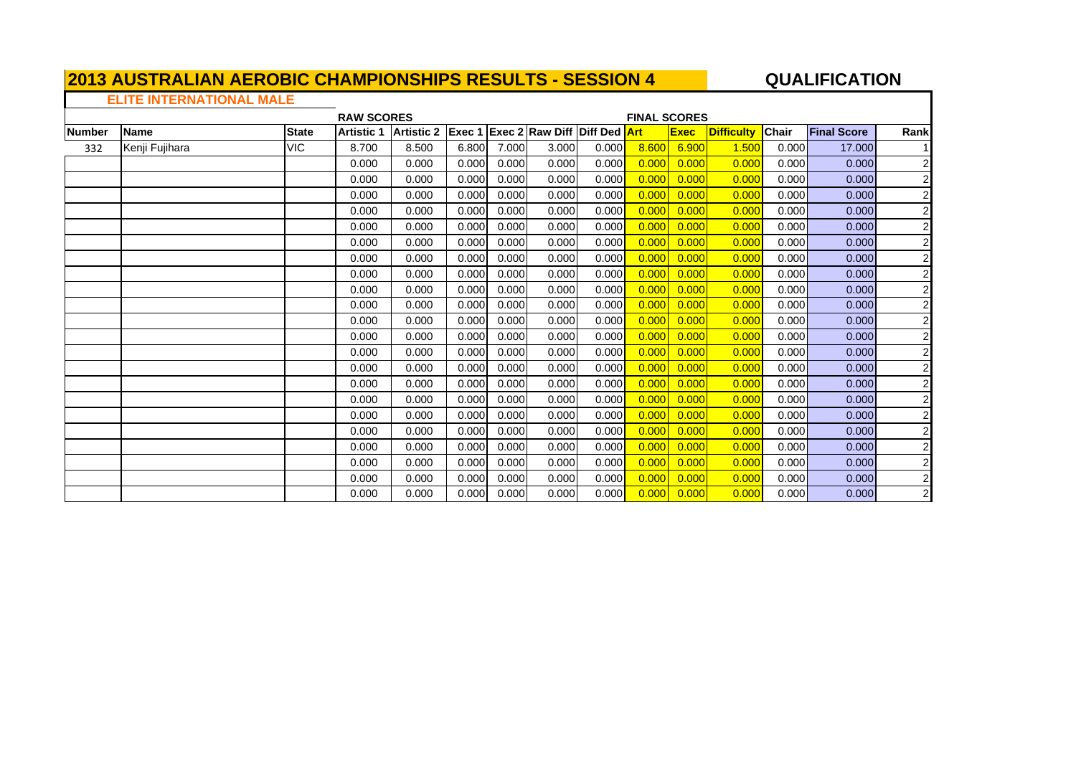## **QUALIFICATION**

## **ELITE INTERNATIONAL MALE**

|               |                |              | <b>RAW SCORES</b> |                   |        |       |                                     |       | <b>FINAL SCORES</b> |             |                   |              |                    |                         |
|---------------|----------------|--------------|-------------------|-------------------|--------|-------|-------------------------------------|-------|---------------------|-------------|-------------------|--------------|--------------------|-------------------------|
| <b>Number</b> | <b>Name</b>    | <b>State</b> | <b>Artistic 1</b> | <b>Artistic 2</b> | Exec 1 |       | <b>Exec 2 Raw Diff Diff Ded Art</b> |       |                     | <b>Exec</b> | <b>Difficulty</b> | <b>Chair</b> | <b>Final Score</b> | Rank                    |
| 332           | Kenji Fujihara | <b>VIC</b>   | 8.700             | 8.500             | 6.800  | 7.000 | 3.000                               | 0.000 | 8.600               | 6.900       | 1.500             | 0.000        | 17.000             |                         |
|               |                |              | 0.000             | 0.000             | 0.000  | 0.000 | 0.000                               | 0.000 | 0.000               | 0.000       | 0.000             | 0.000        | 0.000              | $\overline{2}$          |
|               |                |              | 0.000             | 0.000             | 0.000  | 0.000 | 0.000                               | 0.000 | 0.000               | 0.000       | 0.000             | 0.000        | 0.000              | $\overline{c}$          |
|               |                |              | 0.000             | 0.000             | 0.000  | 0.000 | 0.000                               | 0.000 | 0.000               | 0.000       | 0.000             | 0.000        | 0.000              | $\mathbf 2$             |
|               |                |              | 0.000             | 0.000             | 0.000  | 0.000 | 0.000                               | 0.000 | 0.000               | 0.000       | 0.000             | 0.000        | 0.000              | $\overline{c}$          |
|               |                |              | 0.000             | 0.000             | 0.000  | 0.000 | 0.000                               | 0.000 | 0.000               | 0.000       | 0.000             | 0.000        | 0.000              | $\overline{c}$          |
|               |                |              | 0.000             | 0.000             | 0.000  | 0.000 | 0.000                               | 0.000 | 0.000               | 0.000       | 0.000             | 0.000        | 0.000              | $\overline{c}$          |
|               |                |              | 0.000             | 0.000             | 0.000  | 0.000 | 0.000                               | 0.000 | 0.000               | 0.000       | 0.000             | 0.000        | 0.000              | $\overline{c}$          |
|               |                |              | 0.000             | 0.000             | 0.000  | 0.000 | 0.000                               | 0.000 | 0.000               | 0.000       | 0.000             | 0.000        | 0.000              | $\overline{c}$          |
|               |                |              | 0.000             | 0.000             | 0.000  | 0.000 | 0.000                               | 0.000 | 0.000               | 0.000       | 0.000             | 0.000        | 0.000              | $\overline{c}$          |
|               |                |              | 0.000             | 0.000             | 0.000  | 0.000 | 0.000                               | 0.000 | 0.000               | 0.000       | 0.000             | 0.000        | 0.000              | $\overline{c}$          |
|               |                |              | 0.000             | 0.000             | 0.000  | 0.000 | 0.000                               | 0.000 | 0.000               | 0.000       | 0.000             | 0.000        | 0.000              | $\overline{c}$          |
|               |                |              | 0.000             | 0.000             | 0.000  | 0.000 | 0.000                               | 0.000 | 0.000               | 0.000       | 0.000             | 0.000        | 0.000              | $\overline{c}$          |
|               |                |              | 0.000             | 0.000             | 0.000  | 0.000 | 0.000                               | 0.000 | 0.000               | 0.000       | 0.000             | 0.000        | 0.000              | $\overline{c}$          |
|               |                |              | 0.000             | 0.000             | 0.000  | 0.000 | 0.000                               | 0.000 | 0.000               | 0.000       | 0.000             | 0.000        | 0.000              | $\overline{c}$          |
|               |                |              | 0.000             | 0.000             | 0.000  | 0.000 | 0.000                               | 0.000 | 0.000               | 0.000       | 0.000             | 0.000        | 0.000              | $\overline{c}$          |
|               |                |              | 0.000             | 0.000             | 0.000  | 0.000 | 0.000                               | 0.000 | 0.000               | 0.000       | 0.000             | 0.000        | 0.000              | $\overline{c}$          |
|               |                |              | 0.000             | 0.000             | 0.000  | 0.000 | 0.000                               | 0.000 | 0.000               | 0.000       | 0.000             | 0.000        | 0.000              | $\overline{c}$          |
|               |                |              | 0.000             | 0.000             | 0.000  | 0.000 | 0.000                               | 0.000 | 0.000               | 0.000       | 0.000             | 0.000        | 0.000              | $\overline{2}$          |
|               |                |              | 0.000             | 0.000             | 0.000  | 0.000 | 0.000                               | 0.000 | 0.000               | 0.000       | 0.000             | 0.000        | 0.000              | $\overline{c}$          |
|               |                |              | 0.000             | 0.000             | 0.000  | 0.000 | 0.000                               | 0.000 | 0.000               | 0.000       | 0.000             | 0.000        | 0.000              | $\overline{2}$          |
|               |                |              | 0.000             | 0.000             | 0.000  | 0.000 | 0.000                               | 0.000 | 0.000               | 0.000       | 0.000             | 0.000        | 0.000              | $\overline{\mathbf{c}}$ |
|               |                |              | 0.000             | 0.000             | 0.000  | 0.000 | 0.000                               | 0.000 | 0.000               | 0.000       | 0.000             | 0.000        | 0.000              | $\overline{\mathbf{c}}$ |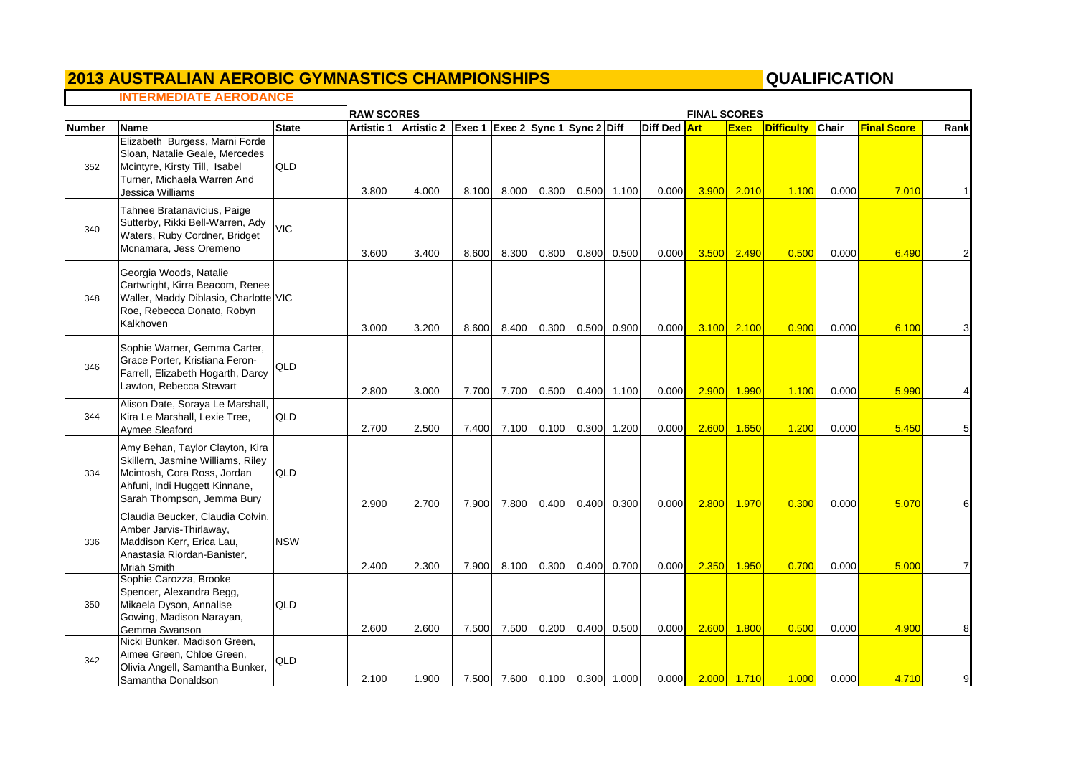### **2013 AUSTRALIAN AEROBIC GYMNASTICS CHAMPIONSHIPS QUALIFICATION**

# QUALIFICATION

٦

#### **INTERMEDIATE AERODANCE**

|               |                                                                                                                                                                    |              | <b>RAW SCORES</b> |                                             |       |                               |       |                 |              | <b>FINAL SCORES</b> |                    |                   |              |                    |      |
|---------------|--------------------------------------------------------------------------------------------------------------------------------------------------------------------|--------------|-------------------|---------------------------------------------|-------|-------------------------------|-------|-----------------|--------------|---------------------|--------------------|-------------------|--------------|--------------------|------|
| <b>Number</b> | <b>Name</b>                                                                                                                                                        | <b>State</b> | <b>Artistic 1</b> | Artistic 2 Exec 1 Exec 2 Sync 1 Sync 2 Diff |       |                               |       |                 | Diff Ded Art |                     | <b>Exec</b>        | <b>Difficulty</b> | <b>Chair</b> | <b>Final Score</b> | Rank |
| 352           | Elizabeth Burgess, Marni Forde<br>Sloan, Natalie Geale, Mercedes<br>Mcintyre, Kirsty Till, Isabel<br>Turner, Michaela Warren And<br>Jessica Williams               | <b>QLD</b>   | 3.800             | 4.000                                       | 8.100 | 8.000                         | 0.300 | 0.500 1.100     | 0.000        | 3.900               | 2.010              | 1.100             | 0.000        | 7.010              |      |
| 340           | Tahnee Bratanavicius, Paige<br>Sutterby, Rikki Bell-Warren, Ady<br>Waters, Ruby Cordner, Bridget<br>Mcnamara, Jess Oremeno                                         | <b>VIC</b>   | 3.600             | 3.400                                       | 8.600 | 8.300                         | 0.800 | 0.800 0.500     | 0.000        | 3.500               | 2.490              | 0.500             | 0.000        | 6.490              |      |
| 348           | Georgia Woods, Natalie<br>Cartwright, Kirra Beacom, Renee<br>Waller, Maddy Diblasio, Charlotte VIC<br>Roe, Rebecca Donato, Robyn<br>Kalkhoven                      |              | 3.000             | 3.200                                       | 8.600 | 8.400                         | 0.300 | 0.500 0.900     | 0.000        | 3.100               | 2.100              | 0.900             | 0.000        | 6.100              |      |
| 346           | Sophie Warner, Gemma Carter,<br>Grace Porter, Kristiana Feron-<br>Farrell, Elizabeth Hogarth, Darcy<br>Lawton, Rebecca Stewart                                     | <b>QLD</b>   | 2.800             | 3.000                                       | 7.700 | 7.700                         | 0.500 | 0.400 1.100     | 0.000        | 2.900               | 1.990              | 1.100             | 0.000        | 5.990              |      |
| 344           | Alison Date, Soraya Le Marshall,<br>Kira Le Marshall, Lexie Tree,<br>Aymee Sleaford                                                                                | <b>QLD</b>   | 2.700             | 2.500                                       | 7.400 | 7.100                         | 0.100 | 0.300 1.200     | 0.000        | 2.600               | 1.650              | 1.200             | 0.000        | 5.450              |      |
| 334           | Amy Behan, Taylor Clayton, Kira<br>Skillern, Jasmine Williams, Riley<br>Mcintosh, Cora Ross, Jordan<br>Ahfuni, Indi Huggett Kinnane,<br>Sarah Thompson, Jemma Bury | <b>QLD</b>   | 2.900             | 2.700                                       | 7.900 | 7.800                         | 0.400 | 0.400 0.300     | 0.000        | 2.800               | 1.970              | 0.300             | 0.000        | 5.070              |      |
| 336           | Claudia Beucker, Claudia Colvin,<br>Amber Jarvis-Thirlaway,<br>Maddison Kerr, Erica Lau,<br>Anastasia Riordan-Banister,<br>Mriah Smith                             | <b>NSW</b>   | 2.400             | 2.300                                       |       | 7.900 8.100                   | 0.300 | 0.400 0.700     | 0.000        | 2.350               | 1.950              | 0.700             | 0.000        | 5.000              |      |
| 350           | Sophie Carozza, Brooke<br>Spencer, Alexandra Begg,<br>Mikaela Dyson, Annalise<br>Gowing, Madison Narayan,<br>Gemma Swanson                                         | QLD          | 2.600             | 2.600                                       | 7.500 | 7.500                         | 0.200 | $0.400$ $0.500$ | 0.000        | 2.600               | 1.800              | 0.500             | 0.000        | 4.900              |      |
| 342           | Nicki Bunker, Madison Green,<br>Aimee Green, Chloe Green,<br>Olivia Angell, Samantha Bunker,<br>Samantha Donaldson                                                 | QLD          | 2.100             | 1.900                                       |       | 7.500 7.600 0.100 0.300 1.000 |       |                 | 0.000        |                     | 2.000 <b>1.710</b> | 1.000             | 0.000        | 4.710              |      |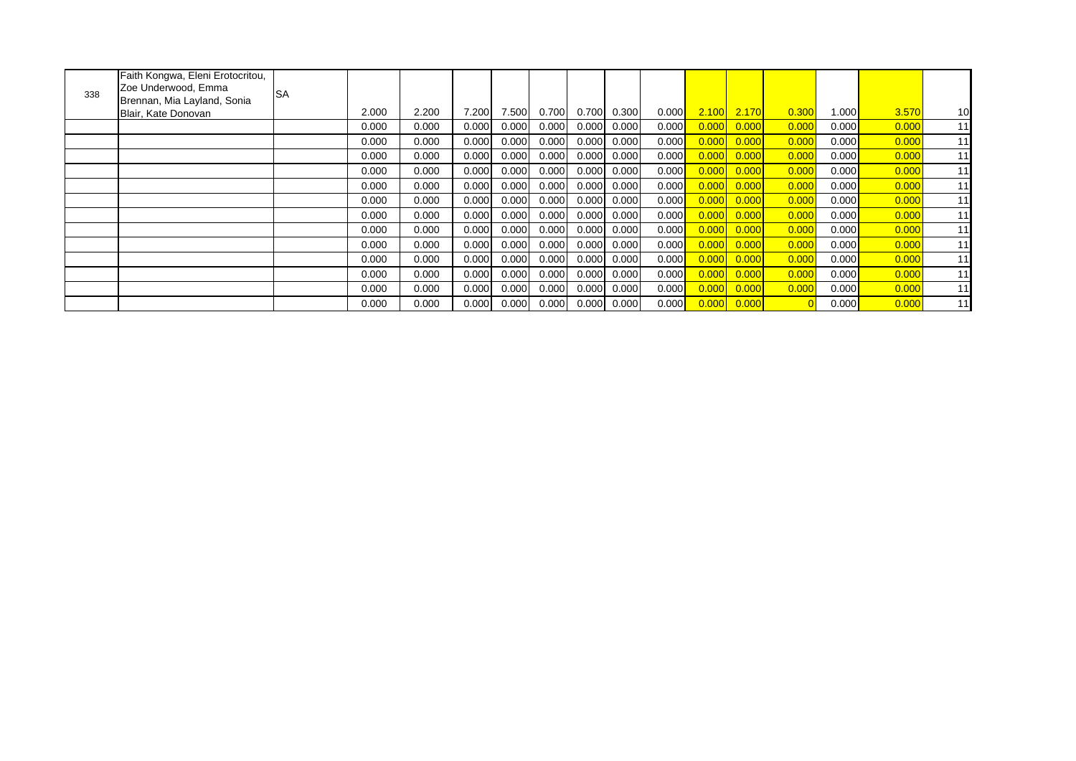| 338 | Faith Kongwa, Eleni Erotocritou,<br>Zoe Underwood, Emma<br>Brennan, Mia Layland, Sonia | <b>SA</b> |       |       |       |       |       |       |       |       |       |       |       |                      |       |    |
|-----|----------------------------------------------------------------------------------------|-----------|-------|-------|-------|-------|-------|-------|-------|-------|-------|-------|-------|----------------------|-------|----|
|     | Blair, Kate Donovan                                                                    |           | 2.000 | 2.200 | 7.200 | 7.500 | 0.700 | 0.700 | 0.300 | 0.000 | 2.100 | 2.170 | 0.300 | 1.000 <mark> </mark> | 3.570 | 10 |
|     |                                                                                        |           | 0.000 | 0.000 | 0.000 | 0.000 | 0.000 | 0.000 | 0.000 | 0.000 | 0.000 | 0.000 | 0.000 | 0.000                | 0.000 | 11 |
|     |                                                                                        |           | 0.000 | 0.000 | 0.000 | 0.000 | 0.000 | 0.000 | 0.000 | 0.000 | 0.000 | 0.000 | 0.000 | 0.000                | 0.000 | 11 |
|     |                                                                                        |           | 0.000 | 0.000 | 0.000 | 0.000 | 0.000 | 0.000 | 0.000 | 0.000 | 0.000 | 0.000 | 0.000 | 0.000                | 0.000 | 11 |
|     |                                                                                        |           | 0.000 | 0.000 | 0.000 | 0.000 | 0.000 | 0.000 | 0.000 | 0.000 | 0.000 | 0.000 | 0.000 | 0.000                | 0.000 | 11 |
|     |                                                                                        |           | 0.000 | 0.000 | 0.000 | 0.000 | 0.000 | 0.000 | 0.000 | 0.000 | 0.000 | 0.000 | 0.000 | 0.000                | 0.000 | 11 |
|     |                                                                                        |           | 0.000 | 0.000 | 0.000 | 0.000 | 0.000 | 0.000 | 0.000 | 0.000 | 0.000 | 0.000 | 0.000 | 0.000                | 0.000 | 11 |
|     |                                                                                        |           | 0.000 | 0.000 | 0.000 | 0.000 | 0.000 | 0.000 | 0.000 | 0.000 | 0.000 | 0.000 | 0.000 | 0.000                | 0.000 | 11 |
|     |                                                                                        |           | 0.000 | 0.000 | 0.000 | 0.000 | 0.000 | 0.000 | 0.000 | 0.000 | 0.000 | 0.000 | 0.000 | 0.000                | 0.000 | 11 |
|     |                                                                                        |           | 0.000 | 0.000 | 0.000 | 0.000 | 0.000 | 0.000 | 0.000 | 0.000 | 0.000 | 0.000 | 0.000 | $0.000$ $\vert$      | 0.000 | 11 |
|     |                                                                                        |           | 0.000 | 0.000 | 0.000 | 0.000 | 0.000 | 0.000 | 0.000 | 0.000 | 0.000 | 0.000 | 0.000 | 0.000                | 0.000 | 11 |
|     |                                                                                        |           | 0.000 | 0.000 | 0.000 | 0.000 | 0.000 | 0.000 | 0.000 | 0.000 | 0.000 | 0.000 | 0.000 | 0.000                | 0.000 | 11 |
|     |                                                                                        |           | 0.000 | 0.000 | 0.000 | 0.000 | 0.000 | 0.000 | 0.000 | 0.000 | 0.000 | 0.000 | 0.000 | 0.000                | 0.000 | 11 |
|     |                                                                                        |           | 0.000 | 0.000 | 0.000 | 0.000 | 0.000 | 0.000 | 0.000 | 0.000 | 0.000 | 0.000 |       | 0.000                | 0.000 | 11 |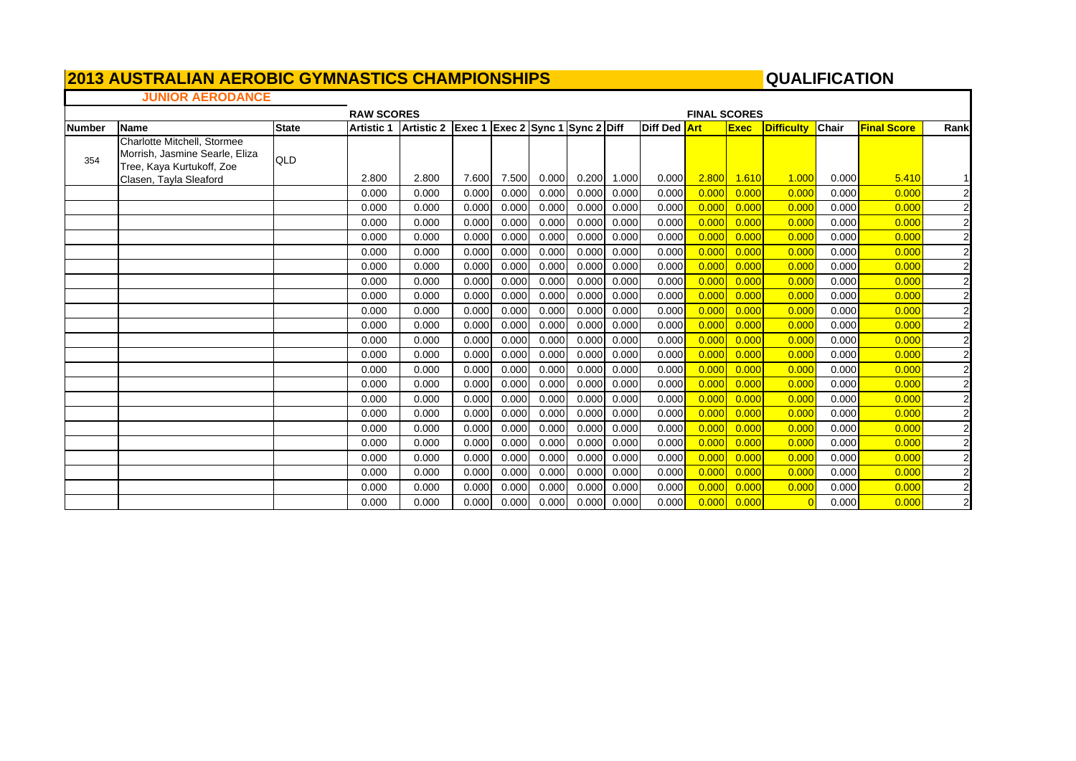## *<u>2013 AUSTRALIAN AEROBIC GYMNASTICS CHAMPIONSHIPS*</u>

### QUALIFICATION

### **JUNIOR AERODANCE**

|               |                                                                                            |              | <b>RAW SCORES</b> |            |                                  |       |       |       |       |                     | <b>FINAL SCORES</b> |             |                   |              |                    |                |
|---------------|--------------------------------------------------------------------------------------------|--------------|-------------------|------------|----------------------------------|-------|-------|-------|-------|---------------------|---------------------|-------------|-------------------|--------------|--------------------|----------------|
| <b>Number</b> | Name                                                                                       | <b>State</b> | <b>Artistic 1</b> | Artistic 2 | Exec 1 Exec 2 Sync 1 Sync 2 Diff |       |       |       |       | <b>Diff Ded Art</b> |                     | <b>Exec</b> | <b>Difficulty</b> | <b>Chair</b> | <b>Final Score</b> | Rank           |
| 354           | Charlotte Mitchell, Stormee<br>Morrish, Jasmine Searle, Eliza<br>Tree, Kaya Kurtukoff, Zoe | QLD          |                   |            |                                  |       |       |       |       |                     |                     |             |                   |              |                    |                |
|               | Clasen, Tayla Sleaford                                                                     |              | 2.800             | 2.800      | 7.600                            | 7.500 | 0.000 | 0.200 | 1.000 | 0.000               | <b>2.800</b>        | 1.610       | 1.000             | 0.000        | 5.410              |                |
|               |                                                                                            |              | 0.000             | 0.000      | 0.000                            | 0.000 | 0.000 | 0.000 | 0.000 | 0.000               | 0.000               | 0.000       | 0.000             | 0.000        | 0.000              | $\mathbf{2}$   |
|               |                                                                                            |              | 0.000             | 0.000      | 0.000                            | 0.000 | 0.000 | 0.000 | 0.000 | 0.000               | 0.000               | 0.000       | 0.000             | 0.000        | 0.000              | $\overline{2}$ |
|               |                                                                                            |              | 0.000             | 0.000      | 0.000                            | 0.000 | 0.000 | 0.000 | 0.000 | 0.000               | 0.000               | 0.000       | 0.000             | 0.000        | 0.000              | $\overline{2}$ |
|               |                                                                                            |              | 0.000             | 0.000      | 0.000                            | 0.000 | 0.000 | 0.000 | 0.000 | 0.000               | 0.000               | 0.000       | 0.000             | 0.000        | 0.000              | $\overline{a}$ |
|               |                                                                                            |              | 0.000             | 0.000      | 0.000                            | 0.000 | 0.000 | 0.000 | 0.000 | 0.000               | 0.000               | 0.000       | 0.000             | 0.000        | 0.000              | $\overline{2}$ |
|               |                                                                                            |              | 0.000             | 0.000      | 0.000                            | 0.000 | 0.000 | 0.000 | 0.000 | 0.000               | 0.000               | 0.000       | 0.000             | 0.000        | 0.000              | 2 <sub>l</sub> |
|               |                                                                                            |              | 0.000             | 0.000      | 0.000                            | 0.000 | 0.000 | 0.000 | 0.000 | 0.000               | 0.000               | 0.000       | 0.000             | 0.000        | 0.000              | $\mathbf{2}$   |
|               |                                                                                            |              | 0.000             | 0.000      | 0.000                            | 0.000 | 0.000 | 0.000 | 0.000 | 0.000               | 0.000               | 0.000       | 0.000             | 0.000        | 0.000              | $\overline{2}$ |
|               |                                                                                            |              | 0.000             | 0.000      | 0.000                            | 0.000 | 0.000 | 0.000 | 0.000 | 0.000               | 0.000               | 0.00C       | 0.000             | 0.000        | 0.000              | $\mathbf{2}$   |
|               |                                                                                            |              | 0.000             | 0.000      | 0.000                            | 0.000 | 0.000 | 0.000 | 0.000 | 0.000               | 0.000               | 0.000       | 0.000             | 0.000        | 0.000              | $\overline{2}$ |
|               |                                                                                            |              | 0.000             | 0.000      | 0.000                            | 0.000 | 0.000 | 0.000 | 0.000 | 0.000               | 0.000               | 0.000       | 0.000             | 0.000        | 0.000              | $\overline{a}$ |
|               |                                                                                            |              | 0.000             | 0.000      | 0.000                            | 0.000 | 0.000 | 0.000 | 0.000 | 0.000               | 0.000               | 0.000       | 0.000             | 0.000        | 0.000              | $\overline{2}$ |
|               |                                                                                            |              | 0.000             | 0.000      | 0.000                            | 0.000 | 0.000 | 0.000 | 0.000 | 0.000               | 0.000               | 0.000       | 0.000             | 0.000        | 0.000              | $\overline{2}$ |
|               |                                                                                            |              | 0.000             | 0.000      | 0.000                            | 0.000 | 0.000 | 0.000 | 0.000 | 0.000               | 0.000               | 0.000       | 0.000             | 0.000        | 0.000              | $\overline{2}$ |
|               |                                                                                            |              | 0.000             | 0.000      | 0.000                            | 0.000 | 0.000 | 0.000 | 0.000 | 0.000               | 0.000               | 0.000       | 0.000             | 0.000        | 0.000              | $\overline{2}$ |
|               |                                                                                            |              | 0.000             | 0.000      | 0.000                            | 0.000 | 0.000 | 0.000 | 0.000 | 0.000               | 0.000               | 0.000       | 0.000             | 0.000        | 0.000              | $\overline{2}$ |
|               |                                                                                            |              | 0.000             | 0.000      | 0.000                            | 0.000 | 0.000 | 0.000 | 0.000 | 0.000               | 0.000               | 0.000       | 0.000             | 0.000        | 0.000              | $\overline{2}$ |
|               |                                                                                            |              | 0.000             | 0.000      | 0.000                            | 0.000 | 0.000 | 0.000 | 0.000 | 0.000               | 0.000               | 0.000       | 0.000             | 0.000        | 0.000              | $\overline{a}$ |
|               |                                                                                            |              | 0.000             | 0.000      | 0.000                            | 0.000 | 0.000 | 0.000 | 0.000 | 0.000               | 0.000               | 0.000       | 0.000             | 0.000        | 0.000              | $\overline{2}$ |
|               |                                                                                            |              | 0.000             | 0.000      | 0.000                            | 0.000 | 0.000 | 0.000 | 0.000 | 0.000               | 0.000               | 0.000       | 0.000             | 0.000        | 0.000              | $\overline{2}$ |
|               |                                                                                            |              | 0.000             | 0.000      | 0.000                            | 0.000 | 0.000 | 0.000 | 0.000 | 0.000               | 0.000               | 0.000       | 0.000             | 0.000        | 0.000              | $\mathbf{2}$   |
|               |                                                                                            |              | 0.000             | 0.000      | 0.000                            | 0.000 | 0.000 | 0.000 | 0.000 | 0.000               | 0.000               | 0.000       |                   | 0.000        | 0.000              | $\mathbf{2}$   |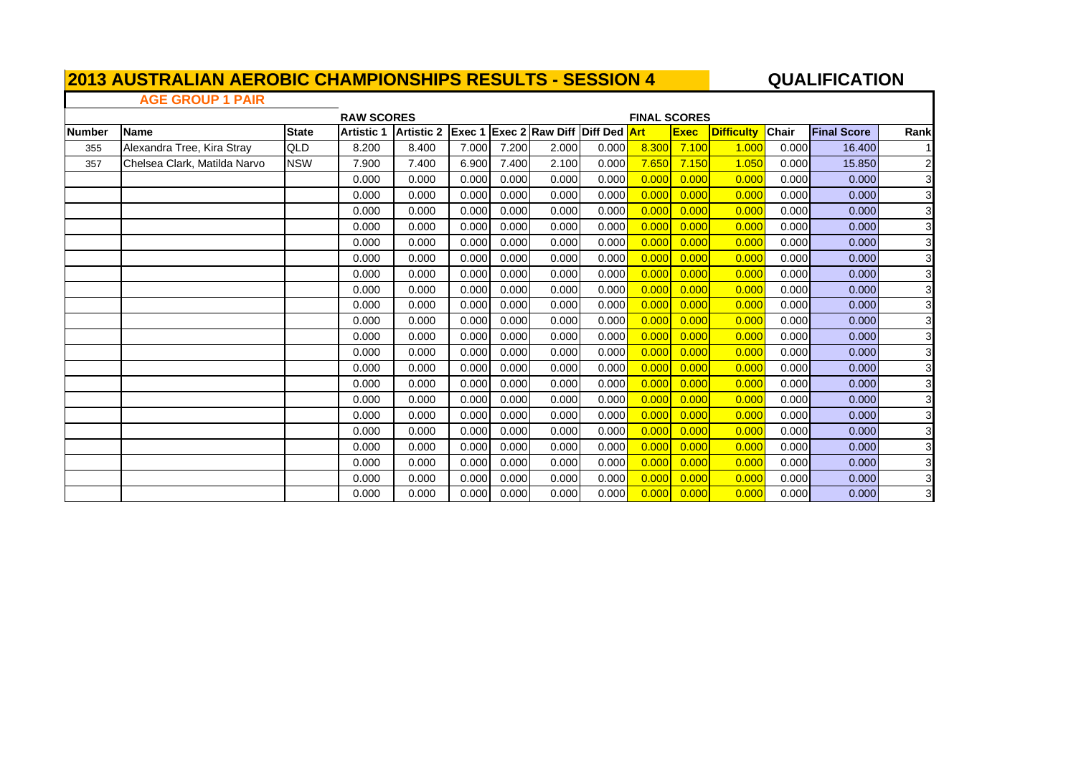## **QUALIFICATION**

### **AGE GROUP 1 PAIR**

 $\Gamma$ 

|               |                              |              | <b>RAW SCORES</b> |                   |        |       |                                     |       | <b>FINAL SCORES</b> |             |                   |              |                    |                         |
|---------------|------------------------------|--------------|-------------------|-------------------|--------|-------|-------------------------------------|-------|---------------------|-------------|-------------------|--------------|--------------------|-------------------------|
| <b>Number</b> | <b>Name</b>                  | <b>State</b> | <b>Artistic 1</b> | <b>Artistic 2</b> | Exec 1 |       | <b>Exec 2 Raw Diff Diff Ded Art</b> |       |                     | <b>Exec</b> | <b>Difficulty</b> | <b>Chair</b> | <b>Final Score</b> | Rank                    |
| 355           | Alexandra Tree, Kira Stray   | QLD          | 8.200             | 8.400             | 7.000  | 7.200 | 2.000                               | 0.000 | 8.300               | 7.100       | 1.000             | 0.000        | 16.400             |                         |
| 357           | Chelsea Clark, Matilda Narvo | <b>NSW</b>   | 7.900             | 7.400             | 6.900  | 7.400 | 2.100                               | 0.000 | 7.650               | 7.150       | 1.050             | 0.000        | 15.850             | $\mathbf{2}$            |
|               |                              |              | 0.000             | 0.000             | 0.000  | 0.000 | 0.000                               | 0.000 | 0.000               | 0.000       | 0.000             | 0.000        | 0.000              | 3 <sup>1</sup>          |
|               |                              |              | 0.000             | 0.000             | 0.000  | 0.000 | 0.000                               | 0.000 | 0.000               | 0.000       | 0.000             | 0.000        | 0.000              | 3 <sup>1</sup>          |
|               |                              |              | 0.000             | 0.000             | 0.000  | 0.000 | 0.000                               | 0.000 | 0.000               | 0.000       | 0.000             | 0.000        | 0.000              | $\mathbf{3}$            |
|               |                              |              | 0.000             | 0.000             | 0.000  | 0.000 | 0.000                               | 0.000 | 0.000               | 0.000       | 0.000             | 0.000        | 0.000              | $\mathbf{3}$            |
|               |                              |              | 0.000             | 0.000             | 0.000  | 0.000 | 0.000                               | 0.000 | 0.000               | 0.000       | 0.000             | 0.000        | 0.000              | $\overline{3}$          |
|               |                              |              | 0.000             | 0.000             | 0.000  | 0.000 | 0.000                               | 0.000 | 0.000               | 0.000       | 0.000             | 0.000        | 0.000              | $\overline{3}$          |
|               |                              |              | 0.000             | 0.000             | 0.000  | 0.000 | 0.000                               | 0.000 | 0.000               | 0.000       | 0.000             | 0.000        | 0.000              | $\overline{3}$          |
|               |                              |              | 0.000             | 0.000             | 0.000  | 0.000 | 0.000                               | 0.000 | 0.000               | 0.000       | 0.000             | 0.000        | 0.000              | $\mathbf{3}$            |
|               |                              |              | 0.000             | 0.000             | 0.000  | 0.000 | 0.000                               | 0.000 | 0.000               | 0.000       | 0.000             | 0.000        | 0.000              | $\overline{3}$          |
|               |                              |              | 0.000             | 0.000             | 0.000  | 0.000 | 0.000                               | 0.000 | 0.000               | 0.000       | 0.000             | 0.000        | 0.000              | $\overline{\mathbf{3}}$ |
|               |                              |              | 0.000             | 0.000             | 0.000  | 0.000 | 0.000                               | 0.000 | 0.000               | 0.000       | 0.000             | 0.000        | 0.000              | $\overline{3}$          |
|               |                              |              | 0.000             | 0.000             | 0.000  | 0.000 | 0.000                               | 0.000 | 0.000               | 0.000       | 0.000             | 0.000        | 0.000              | $\overline{3}$          |
|               |                              |              | 0.000             | 0.000             | 0.000  | 0.000 | 0.000                               | 0.000 | 0.000               | 0.000       | 0.000             | 0.000        | 0.000              | $\overline{3}$          |
|               |                              |              | 0.000             | 0.000             | 0.000  | 0.000 | 0.000                               | 0.000 | 0.000               | 0.000       | 0.000             | 0.000        | 0.000              | $\mathbf{3}$            |
|               |                              |              | 0.000             | 0.000             | 0.000  | 0.000 | 0.000                               | 0.000 | 0.000               | 0.000       | 0.000             | 0.000        | 0.000              | 3 <sup>1</sup>          |
|               |                              |              | 0.000             | 0.000             | 0.000  | 0.000 | 0.000                               | 0.000 | 0.000               | 0.000       | 0.000             | 0.000        | 0.000              | 3 <sup>1</sup>          |
|               |                              |              | 0.000             | 0.000             | 0.000  | 0.000 | 0.000                               | 0.000 | 0.000               | 0.000       | 0.000             | 0.000        | 0.000              | 3 <sup>1</sup>          |
|               |                              |              | 0.000             | 0.000             | 0.000  | 0.000 | 0.000                               | 0.000 | 0.000               | 0.000       | 0.000             | 0.000        | 0.000              | $\mathbf{3}$            |
|               |                              |              | 0.000             | 0.000             | 0.000  | 0.000 | 0.000                               | 0.000 | 0.000               | 0.000       | 0.000             | 0.000        | 0.000              | 3 <sup>1</sup>          |
|               |                              |              | 0.000             | 0.000             | 0.000  | 0.000 | 0.000                               | 0.000 | 0.000               | 0.000       | 0.000             | 0.000        | 0.000              | $\mathbf{3}$            |
|               |                              |              | 0.000             | 0.000             | 0.000  | 0.000 | 0.000                               | 0.000 | 0.000               | 0.000       | 0.000             | 0.000        | 0.000              | $\mathbf{3}$            |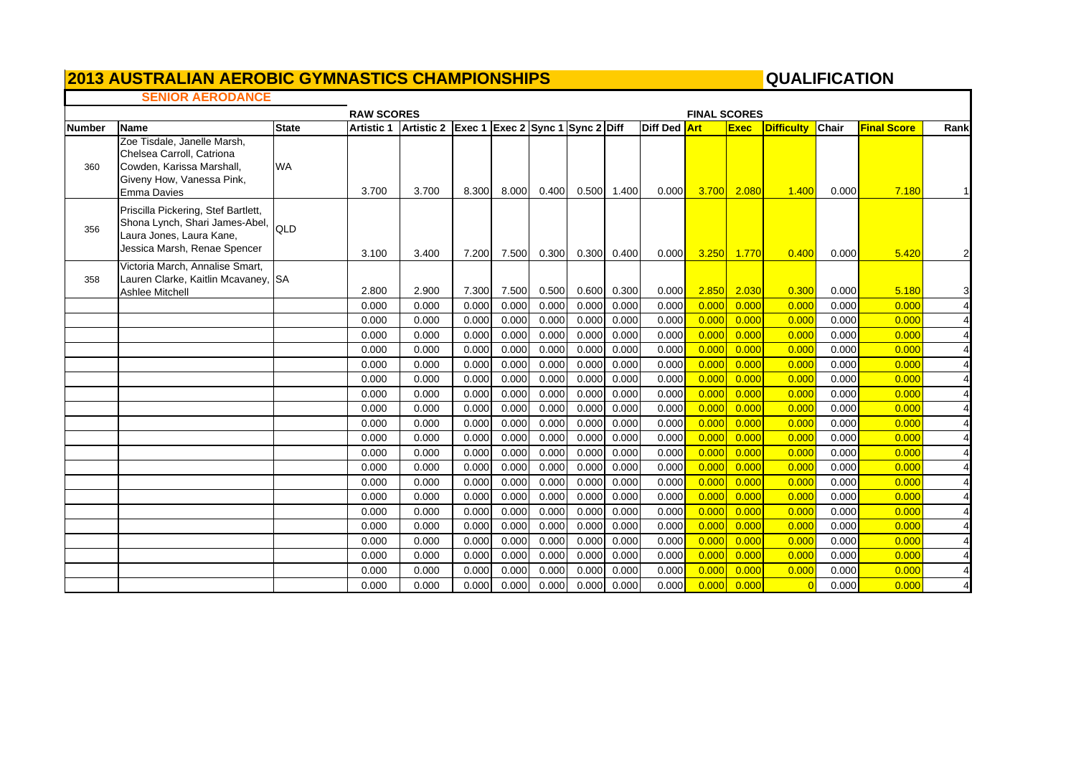## *<u>2013 AUSTRALIAN AEROBIC GYMNASTICS CHAMPIONSHIPS*</u>

### QUALIFICATION

٦

### **SENIOR AERODANCE**

|               |                                                                                                                                       |              | <b>RAW SCORES</b> |                                             |       |       |       |       |             |              | <b>FINAL SCORES</b> |             |            |              |                    |                |
|---------------|---------------------------------------------------------------------------------------------------------------------------------------|--------------|-------------------|---------------------------------------------|-------|-------|-------|-------|-------------|--------------|---------------------|-------------|------------|--------------|--------------------|----------------|
| <b>Number</b> | <b>Name</b>                                                                                                                           | <b>State</b> | <b>Artistic 1</b> | Artistic 2 Exec 1 Exec 2 Sync 1 Sync 2 Diff |       |       |       |       |             | Diff Ded Art |                     | <b>Exec</b> | Difficulty | <b>Chair</b> | <b>Final Score</b> | Rank           |
| 360           | Zoe Tisdale, Janelle Marsh,<br>Chelsea Carroll, Catriona<br>Cowden, Karissa Marshall,<br>Giveny How, Vanessa Pink,<br>Emma Davies     | <b>WA</b>    | 3.700             | 3.700                                       | 8.300 | 8.000 | 0.400 |       | 0.500 1.400 | 0.000        | <b>3.700</b>        | 2.080       | 1.400      | 0.000        | 7.180              | $\mathbf{1}$   |
| 356           | Priscilla Pickering, Stef Bartlett,<br>Shona Lynch, Shari James-Abel, QLD<br>Laura Jones, Laura Kane,<br>Jessica Marsh, Renae Spencer |              | 3.100             | 3.400                                       | 7.200 | 7.500 | 0.300 |       | 0.300 0.400 | 0.000        | 3.250               | 1.770       | 0.400      | 0.000        | 5.420              | $\overline{2}$ |
| 358           | Victoria March, Annalise Smart,<br>Lauren Clarke, Kaitlin Mcavaney, SA<br><b>Ashlee Mitchell</b>                                      |              | 2.800             | 2.900                                       | 7.300 | 7.500 | 0.500 | 0.600 | 0.300       | 0.000        | 2.850               | 2.030       | 0.300      | 0.000        | 5.180              | 3              |
|               |                                                                                                                                       |              | 0.000             | 0.000                                       | 0.000 | 0.000 | 0.000 | 0.000 | 0.000       | 0.000        | 0.000               | 0.000       | 0.000      | 0.000        | 0.000              | $\overline{4}$ |
|               |                                                                                                                                       |              | 0.000             | 0.000                                       | 0.000 | 0.000 | 0.000 | 0.000 | 0.000       | 0.000        | 0.000               | 0.000       | 0.000      | 0.000        | 0.000              | $\overline{4}$ |
|               |                                                                                                                                       |              | 0.000             | 0.000                                       | 0.000 | 0.000 | 0.000 | 0.000 | 0.000       | 0.000        | 0.000               | 0.000       | 0.000      | 0.000        | 0.000              | $\overline{4}$ |
|               |                                                                                                                                       |              | 0.000             | 0.000                                       | 0.000 | 0.000 | 0.000 | 0.000 | 0.000       | 0.000        | 0.000               | 0.000       | 0.00C      | 0.000        | 0.000              | $\overline{4}$ |
|               |                                                                                                                                       |              | 0.000             | 0.000                                       | 0.000 | 0.000 | 0.000 | 0.000 | 0.000       | 0.000        | 0.000               | 0.000       | 0.000      | 0.000        | 0.000              | $\overline{4}$ |
|               |                                                                                                                                       |              | 0.000             | 0.000                                       | 0.000 | 0.000 | 0.000 | 0.000 | 0.000       | 0.000        | 0.000               | 0.000       | 0.000      | 0.000        | 0.000              |                |
|               |                                                                                                                                       |              | 0.000             | 0.000                                       | 0.000 | 0.000 | 0.000 | 0.000 | 0.000       | 0.000        | 0.000               | 0.000       | 0.000      | 0.000        | 0.000              | $\overline{4}$ |
|               |                                                                                                                                       |              | 0.000             | 0.000                                       | 0.000 | 0.000 | 0.000 | 0.000 | 0.000       | 0.000        | 0.000               | 0.000       | 0.00C      | 0.000        | 0.000              | $\overline{4}$ |
|               |                                                                                                                                       |              | 0.000             | 0.000                                       | 0.000 | 0.000 | 0.000 | 0.000 | 0.000       | 0.000        | 0.000               | 0.000       | 0.000      | 0.000        | 0.000              | $\overline{4}$ |
|               |                                                                                                                                       |              | 0.000             | 0.000                                       | 0.000 | 0.000 | 0.000 | 0.000 | 0.000       | 0.000        | 0.000               | 0.000       | 0.000      | 0.000        | 0.000              | $\overline{4}$ |
|               |                                                                                                                                       |              | 0.000             | 0.000                                       | 0.000 | 0.000 | 0.000 | 0.000 | 0.000       | 0.000        | 0.000               | 0.000       | 0.000      | 0.000        | 0.000              | $\overline{4}$ |
|               |                                                                                                                                       |              | 0.000             | 0.000                                       | 0.000 | 0.000 | 0.000 | 0.000 | 0.000       | 0.000        | 0.000               | 0.000       | 0.00C      | 0.000        | 0.000              | $\overline{4}$ |
|               |                                                                                                                                       |              | 0.000             | 0.000                                       | 0.000 | 0.000 | 0.000 | 0.000 | 0.000       | 0.000        | 0.000               | 0.000       | 0.000      | 0.000        | 0.000              | $\overline{4}$ |
|               |                                                                                                                                       |              | 0.000             | 0.000                                       | 0.000 | 0.000 | 0.000 | 0.000 | 0.000       | 0.000        | 0.000               | 0.000       | 0.000      | 0.000        | 0.000              | $\overline{4}$ |
|               |                                                                                                                                       |              | 0.000             | 0.000                                       | 0.000 | 0.000 | 0.000 | 0.000 | 0.000       | 0.000        | 0.000               | 0.000       | 0.000      | 0.000        | 0.000              |                |
|               |                                                                                                                                       |              | 0.000             | 0.000                                       | 0.000 | 0.000 | 0.000 | 0.000 | 0.000       | 0.000        | 0.000               | 0.000       | 0.000      | 0.000        | 0.000              | $\overline{4}$ |
|               |                                                                                                                                       |              | 0.000             | 0.000                                       | 0.000 | 0.000 | 0.000 | 0.000 | 0.000       | 0.000        | 0.000               | 0.000       | 0.000      | 0.000        | 0.000              | $\overline{4}$ |
|               |                                                                                                                                       |              | 0.000             | 0.000                                       | 0.000 | 0.000 | 0.000 | 0.000 | 0.000       | 0.000        | 0.000               | 0.000       | 0.000      | 0.000        | 0.000              | $\overline{4}$ |
|               |                                                                                                                                       |              | 0.000             | 0.000                                       | 0.000 | 0.000 | 0.000 | 0.000 | 0.000       | 0.000        | 0.000               | 0.000       | 0.000      | 0.000        | 0.000              | $\overline{4}$ |
|               |                                                                                                                                       |              | 0.000             | 0.000                                       | 0.000 | 0.000 | 0.000 | 0.000 | 0.000       | 0.000        | 0.000               | 0.000       | $\Omega$   | 0.000        | 0.000              |                |